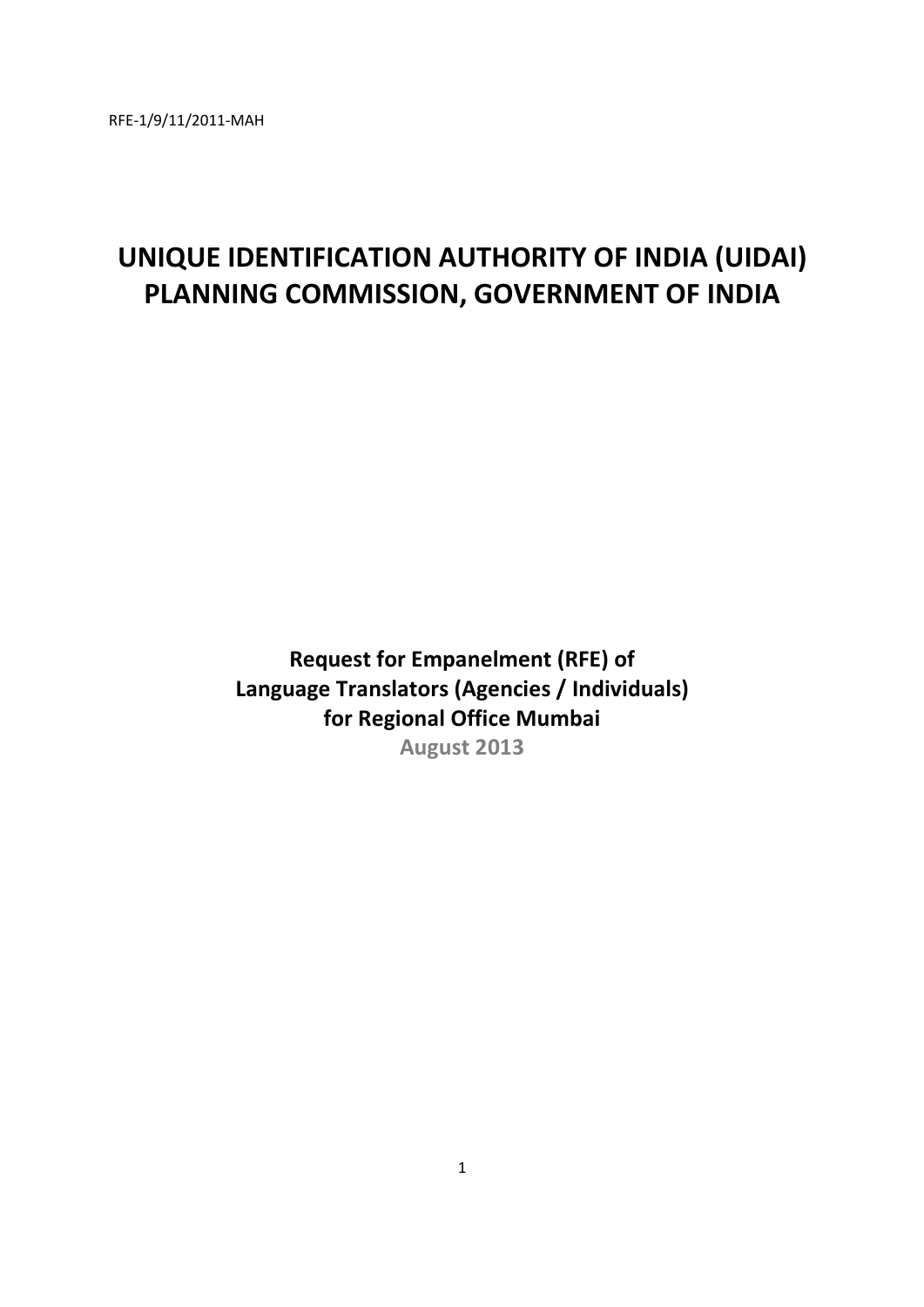# **UNIQUE IDENTIFICATION AUTHORITY OF INDIA (UIDAI) PLANNING COMMISSION, GOVERNMENT OF INDIA**

**Request for Empanelment (RFE) of Language Translators (Agencies / Individuals) for Regional Office Mumbai August 2013**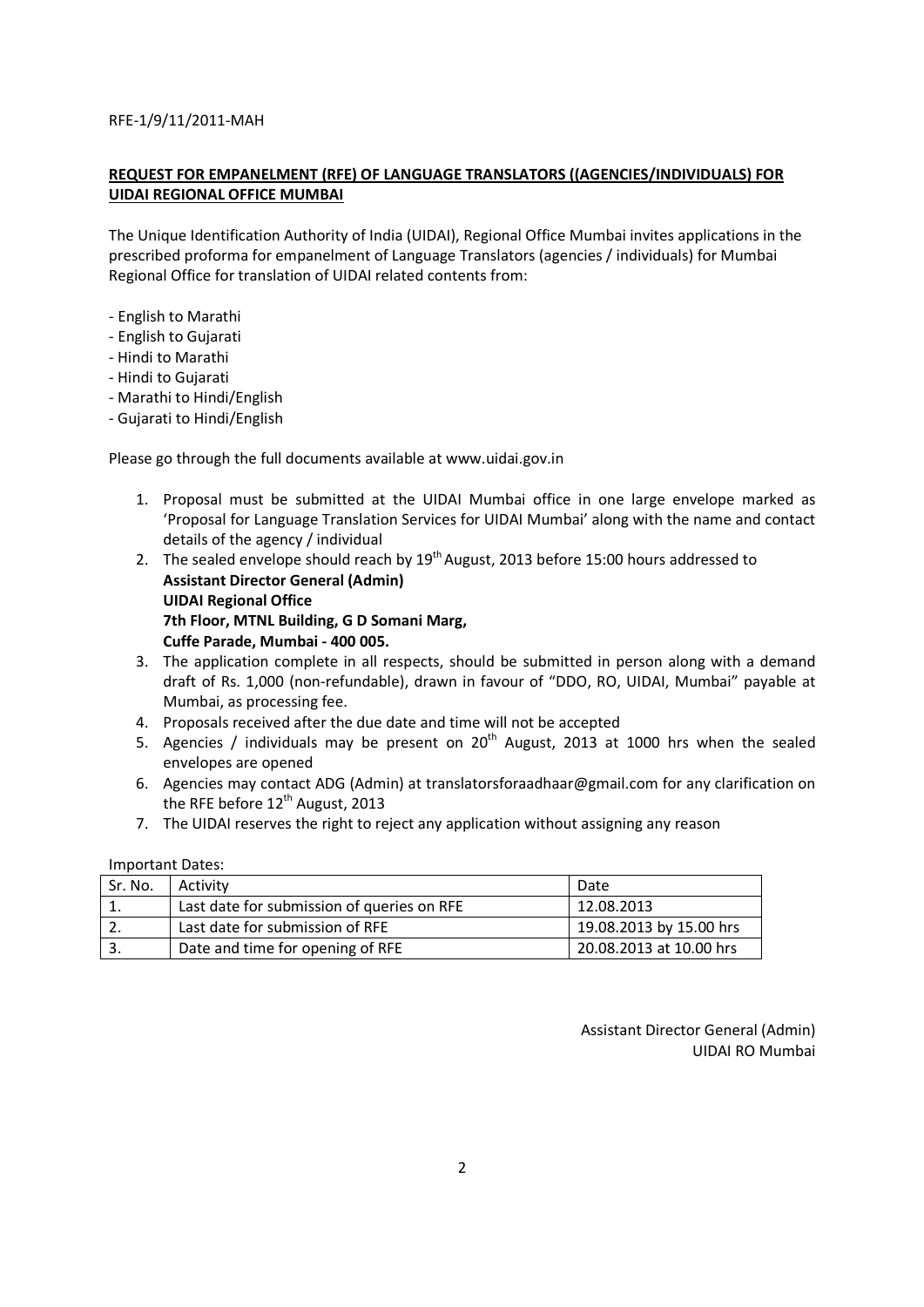## **REQUEST FOR EMPANELMENT (RFE) OF LANGUAGE TRANSLATORS ((AGENCIES/INDIVIDUALS) FOR UIDAI REGIONAL OFFICE MUMBAI**

The Unique Identification Authority of India (UIDAI), Regional Office Mumbai invites applications in the prescribed proforma for empanelment of Language Translators (agencies / individuals) for Mumbai Regional Office for translation of UIDAI related contents from:

- English to Marathi
- English to Gujarati
- Hindi to Marathi
- Hindi to Gujarati
- Marathi to Hindi/English
- Gujarati to Hindi/English

Please go through the full documents available at www.uidai.gov.in

- 1. Proposal must be submitted at the UIDAI Mumbai office in one large envelope marked as 'Proposal for Language Translation Services for UIDAI Mumbai' along with the name and contact details of the agency / individual
- 2. The sealed envelope should reach by  $19<sup>th</sup>$  August, 2013 before 15:00 hours addressed to **Assistant Director General (Admin) UIDAI Regional Office 7th Floor, MTNL Building, G D Somani Marg, Cuffe Parade, Mumbai - 400 005.**
- 3. The application complete in all respects, should be submitted in person along with a demand draft of Rs. 1,000 (non-refundable), drawn in favour of "DDO, RO, UIDAI, Mumbai" payable at Mumbai, as processing fee.
- 4. Proposals received after the due date and time will not be accepted
- 5. Agencies / individuals may be present on  $20<sup>th</sup>$  August, 2013 at 1000 hrs when the sealed envelopes are opened
- 6. Agencies may contact ADG (Admin) at translatorsforaadhaar@gmail.com for any clarification on the RFE before 12<sup>th</sup> August, 2013
- 7. The UIDAI reserves the right to reject any application without assigning any reason

#### Important Dates:

| Sr. No. | Activity                                   | Date                    |
|---------|--------------------------------------------|-------------------------|
|         | Last date for submission of queries on RFE | 12.08.2013              |
|         | Last date for submission of RFE            | 19.08.2013 by 15.00 hrs |
|         | Date and time for opening of RFE           | 20.08.2013 at 10.00 hrs |

Assistant Director General (Admin) UIDAI RO Mumbai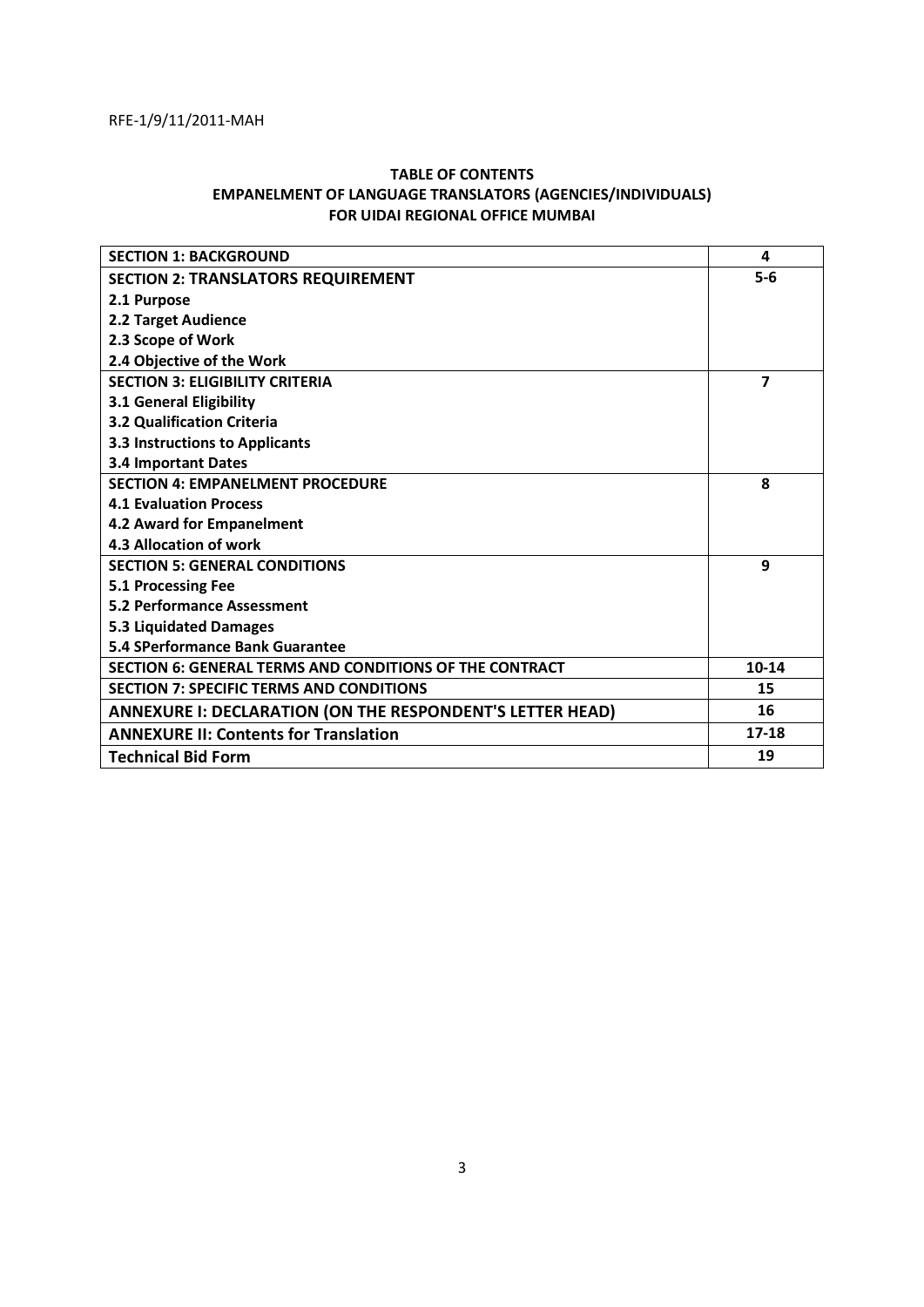## **TABLE OF CONTENTS EMPANELMENT OF LANGUAGE TRANSLATORS (AGENCIES/INDIVIDUALS) FOR UIDAI REGIONAL OFFICE MUMBAI**

| <b>SECTION 1: BACKGROUND</b>                              | 4         |
|-----------------------------------------------------------|-----------|
| <b>SECTION 2: TRANSLATORS REQUIREMENT</b>                 | $5-6$     |
| 2.1 Purpose                                               |           |
| 2.2 Target Audience                                       |           |
| 2.3 Scope of Work                                         |           |
| 2.4 Objective of the Work                                 |           |
| <b>SECTION 3: ELIGIBILITY CRITERIA</b>                    | 7         |
| 3.1 General Eligibility                                   |           |
| 3.2 Qualification Criteria                                |           |
| <b>3.3 Instructions to Applicants</b>                     |           |
| <b>3.4 Important Dates</b>                                |           |
| <b>SECTION 4: EMPANELMENT PROCEDURE</b>                   | 8         |
| <b>4.1 Evaluation Process</b>                             |           |
| 4.2 Award for Empanelment                                 |           |
| 4.3 Allocation of work                                    |           |
| <b>SECTION 5: GENERAL CONDITIONS</b>                      | 9         |
| 5.1 Processing Fee                                        |           |
| <b>5.2 Performance Assessment</b>                         |           |
| <b>5.3 Liquidated Damages</b>                             |           |
| 5.4 SPerformance Bank Guarantee                           |           |
| SECTION 6: GENERAL TERMS AND CONDITIONS OF THE CONTRACT   | 10-14     |
| <b>SECTION 7: SPECIFIC TERMS AND CONDITIONS</b>           | 15        |
| ANNEXURE I: DECLARATION (ON THE RESPONDENT'S LETTER HEAD) | 16        |
| <b>ANNEXURE II: Contents for Translation</b>              | $17 - 18$ |
| <b>Technical Bid Form</b>                                 | 19        |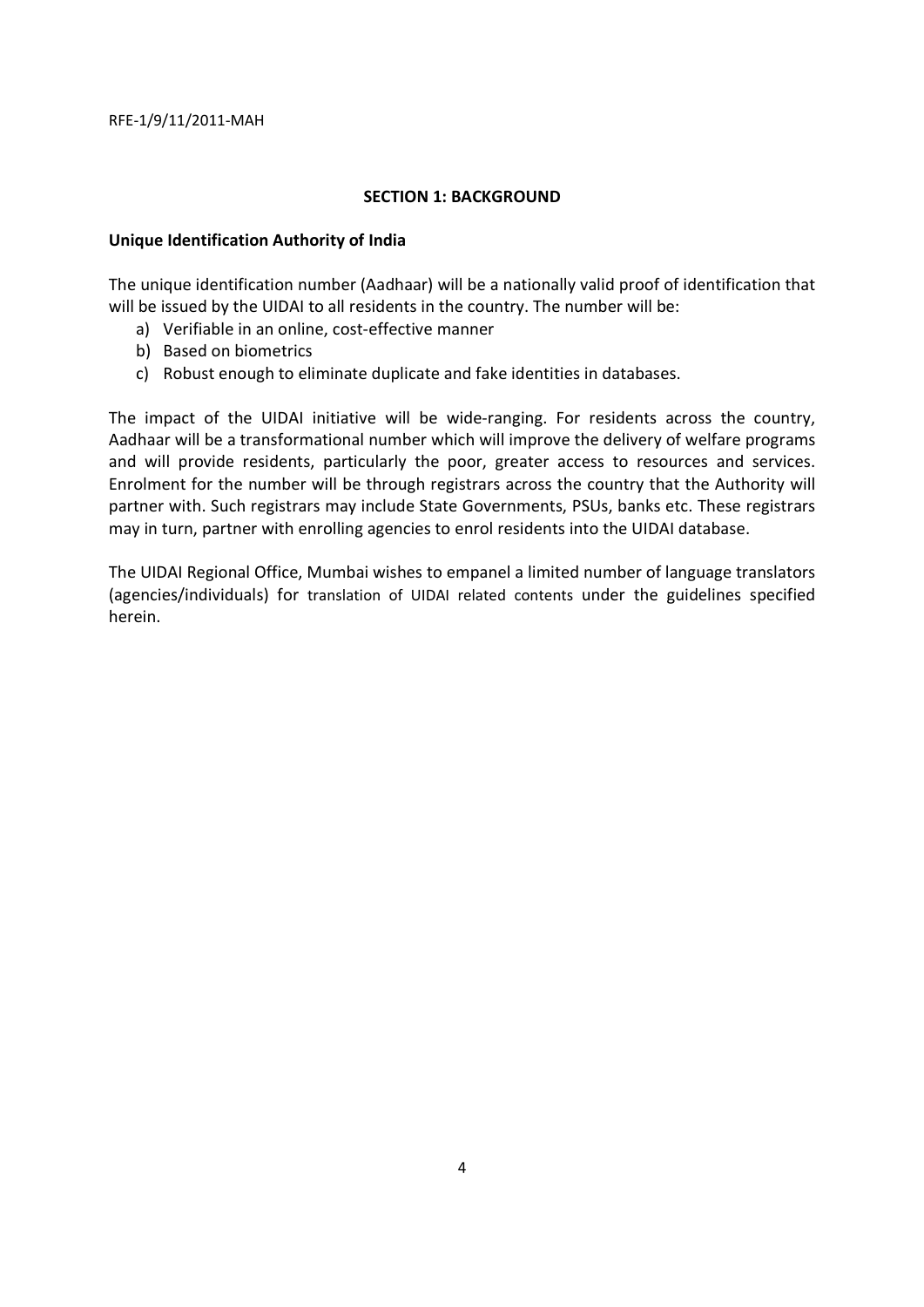#### **SECTION 1: BACKGROUND**

## **Unique Identification Authority of India**

The unique identification number (Aadhaar) will be a nationally valid proof of identification that will be issued by the UIDAI to all residents in the country. The number will be:

- a) Verifiable in an online, cost-effective manner
- b) Based on biometrics
- c) Robust enough to eliminate duplicate and fake identities in databases.

The impact of the UIDAI initiative will be wide-ranging. For residents across the country, Aadhaar will be a transformational number which will improve the delivery of welfare programs and will provide residents, particularly the poor, greater access to resources and services. Enrolment for the number will be through registrars across the country that the Authority will partner with. Such registrars may include State Governments, PSUs, banks etc. These registrars may in turn, partner with enrolling agencies to enrol residents into the UIDAI database.

The UIDAI Regional Office, Mumbai wishes to empanel a limited number of language translators (agencies/individuals) for translation of UIDAI related contents under the guidelines specified herein.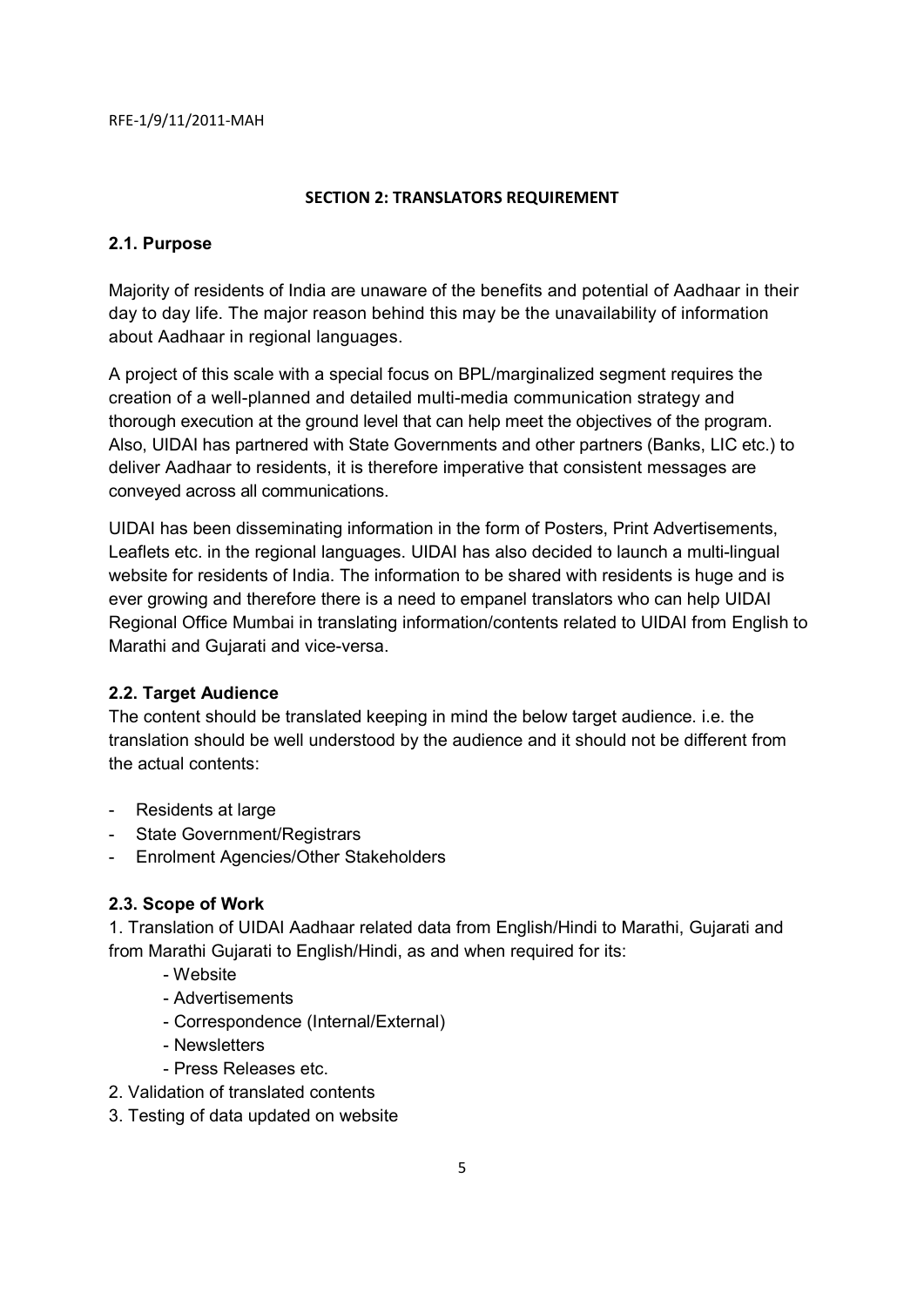# **SECTION 2: TRANSLATORS REQUIREMENT**

# **2.1. Purpose**

Majority of residents of India are unaware of the benefits and potential of Aadhaar in their day to day life. The major reason behind this may be the unavailability of information about Aadhaar in regional languages.

A project of this scale with a special focus on BPL/marginalized segment requires the creation of a well-planned and detailed multi-media communication strategy and thorough execution at the ground level that can help meet the objectives of the program. Also, UIDAI has partnered with State Governments and other partners (Banks, LIC etc.) to deliver Aadhaar to residents, it is therefore imperative that consistent messages are conveyed across all communications.

UIDAI has been disseminating information in the form of Posters, Print Advertisements, Leaflets etc. in the regional languages. UIDAI has also decided to launch a multi-lingual website for residents of India. The information to be shared with residents is huge and is ever growing and therefore there is a need to empanel translators who can help UIDAI Regional Office Mumbai in translating information/contents related to UIDAI from English to Marathi and Gujarati and vice-versa.

# **2.2. Target Audience**

The content should be translated keeping in mind the below target audience. i.e. the translation should be well understood by the audience and it should not be different from the actual contents:

- Residents at large
- State Government/Registrars
- Enrolment Agencies/Other Stakeholders

# **2.3. Scope of Work**

1. Translation of UIDAI Aadhaar related data from English/Hindi to Marathi, Gujarati and from Marathi Gujarati to English/Hindi, as and when required for its:

- Website
- Advertisements
- Correspondence (Internal/External)
- Newsletters
- Press Releases etc.
- 2. Validation of translated contents
- 3. Testing of data updated on website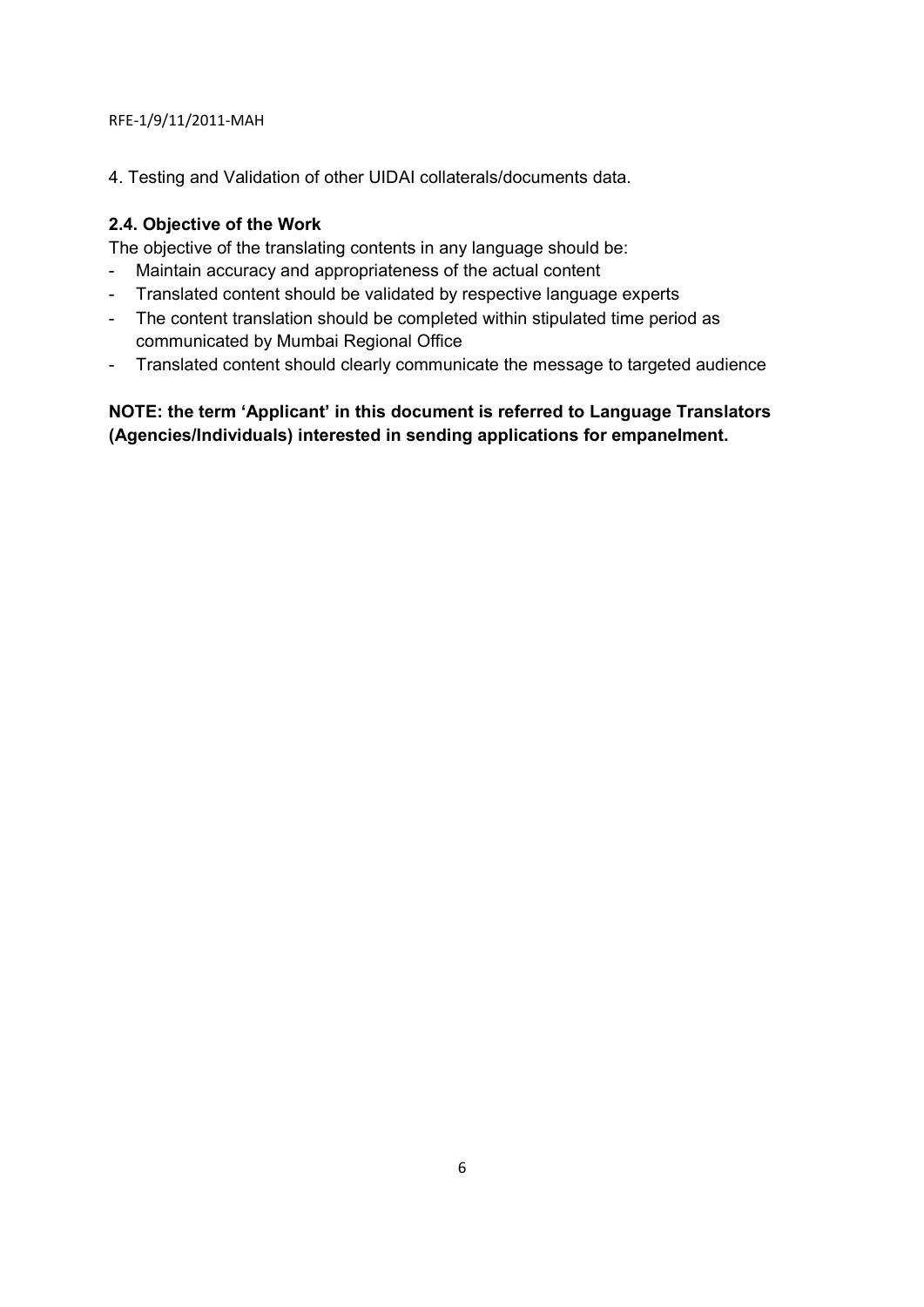4. Testing and Validation of other UIDAI collaterals/documents data.

# **2.4. Objective of the Work**

The objective of the translating contents in any language should be:

- Maintain accuracy and appropriateness of the actual content
- Translated content should be validated by respective language experts
- The content translation should be completed within stipulated time period as communicated by Mumbai Regional Office
- Translated content should clearly communicate the message to targeted audience

**NOTE: the term 'Applicant' in this document is referred to Language Translators (Agencies/Individuals) interested in sending applications for empanelment.**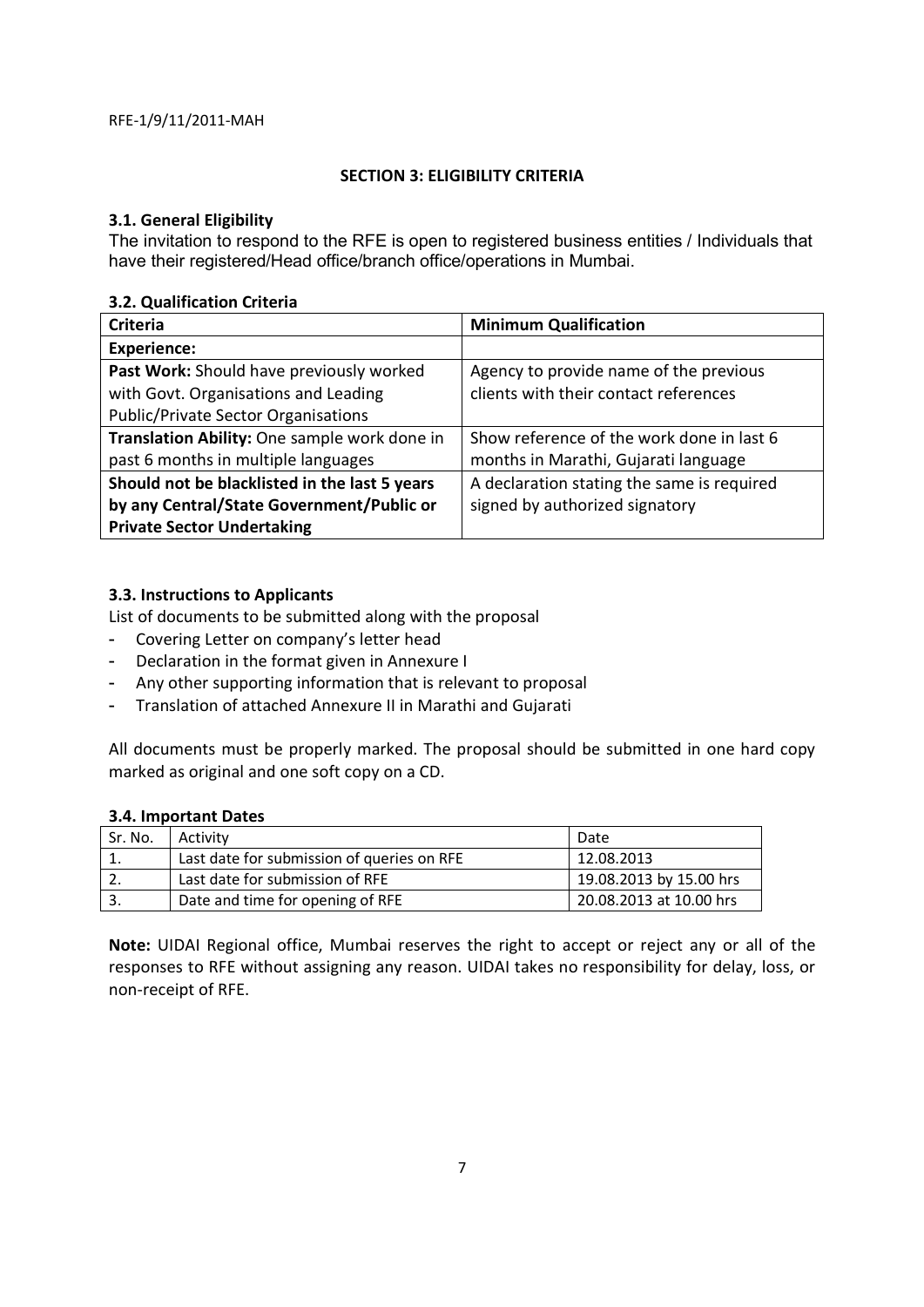#### **SECTION 3: ELIGIBILITY CRITERIA**

# **3.1. General Eligibility**

The invitation to respond to the RFE is open to registered business entities / Individuals that have their registered/Head office/branch office/operations in Mumbai.

# **3.2. Qualification Criteria**

| <b>Criteria</b>                               | <b>Minimum Qualification</b>               |  |
|-----------------------------------------------|--------------------------------------------|--|
| <b>Experience:</b>                            |                                            |  |
| Past Work: Should have previously worked      | Agency to provide name of the previous     |  |
| with Govt. Organisations and Leading          | clients with their contact references      |  |
| <b>Public/Private Sector Organisations</b>    |                                            |  |
| Translation Ability: One sample work done in  | Show reference of the work done in last 6  |  |
| past 6 months in multiple languages           | months in Marathi, Gujarati language       |  |
| Should not be blacklisted in the last 5 years | A declaration stating the same is required |  |
| by any Central/State Government/Public or     | signed by authorized signatory             |  |
| <b>Private Sector Undertaking</b>             |                                            |  |

# **3.3. Instructions to Applicants**

List of documents to be submitted along with the proposal

- Covering Letter on company's letter head
- Declaration in the format given in Annexure I
- Any other supporting information that is relevant to proposal
- Translation of attached Annexure II in Marathi and Gujarati

All documents must be properly marked. The proposal should be submitted in one hard copy marked as original and one soft copy on a CD.

#### **3.4. Important Dates**

| Sr. No. | Activity                                   | Date                    |
|---------|--------------------------------------------|-------------------------|
|         | Last date for submission of queries on RFE | 12.08.2013              |
|         | Last date for submission of RFE            | 19.08.2013 by 15.00 hrs |
|         | Date and time for opening of RFE           | 20.08.2013 at 10.00 hrs |

**Note:** UIDAI Regional office, Mumbai reserves the right to accept or reject any or all of the responses to RFE without assigning any reason. UIDAI takes no responsibility for delay, loss, or non-receipt of RFE.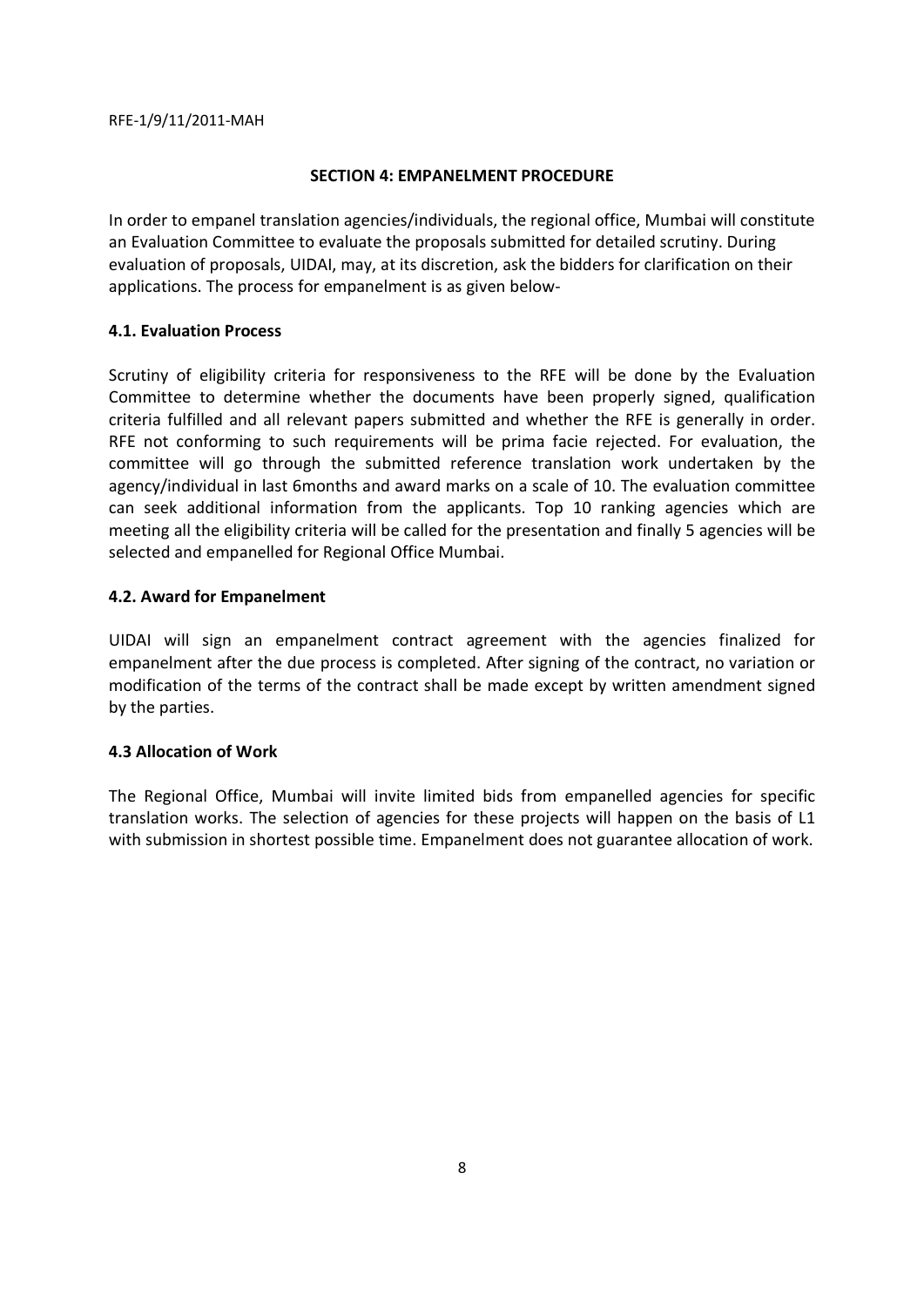#### **SECTION 4: EMPANELMENT PROCEDURE**

In order to empanel translation agencies/individuals, the regional office, Mumbai will constitute an Evaluation Committee to evaluate the proposals submitted for detailed scrutiny. During evaluation of proposals, UIDAI, may, at its discretion, ask the bidders for clarification on their applications. The process for empanelment is as given below-

# **4.1. Evaluation Process**

Scrutiny of eligibility criteria for responsiveness to the RFE will be done by the Evaluation Committee to determine whether the documents have been properly signed, qualification criteria fulfilled and all relevant papers submitted and whether the RFE is generally in order. RFE not conforming to such requirements will be prima facie rejected. For evaluation, the committee will go through the submitted reference translation work undertaken by the agency/individual in last 6months and award marks on a scale of 10. The evaluation committee can seek additional information from the applicants. Top 10 ranking agencies which are meeting all the eligibility criteria will be called for the presentation and finally 5 agencies will be selected and empanelled for Regional Office Mumbai.

# **4.2. Award for Empanelment**

UIDAI will sign an empanelment contract agreement with the agencies finalized for empanelment after the due process is completed. After signing of the contract, no variation or modification of the terms of the contract shall be made except by written amendment signed by the parties.

#### **4.3 Allocation of Work**

The Regional Office, Mumbai will invite limited bids from empanelled agencies for specific translation works. The selection of agencies for these projects will happen on the basis of L1 with submission in shortest possible time. Empanelment does not guarantee allocation of work.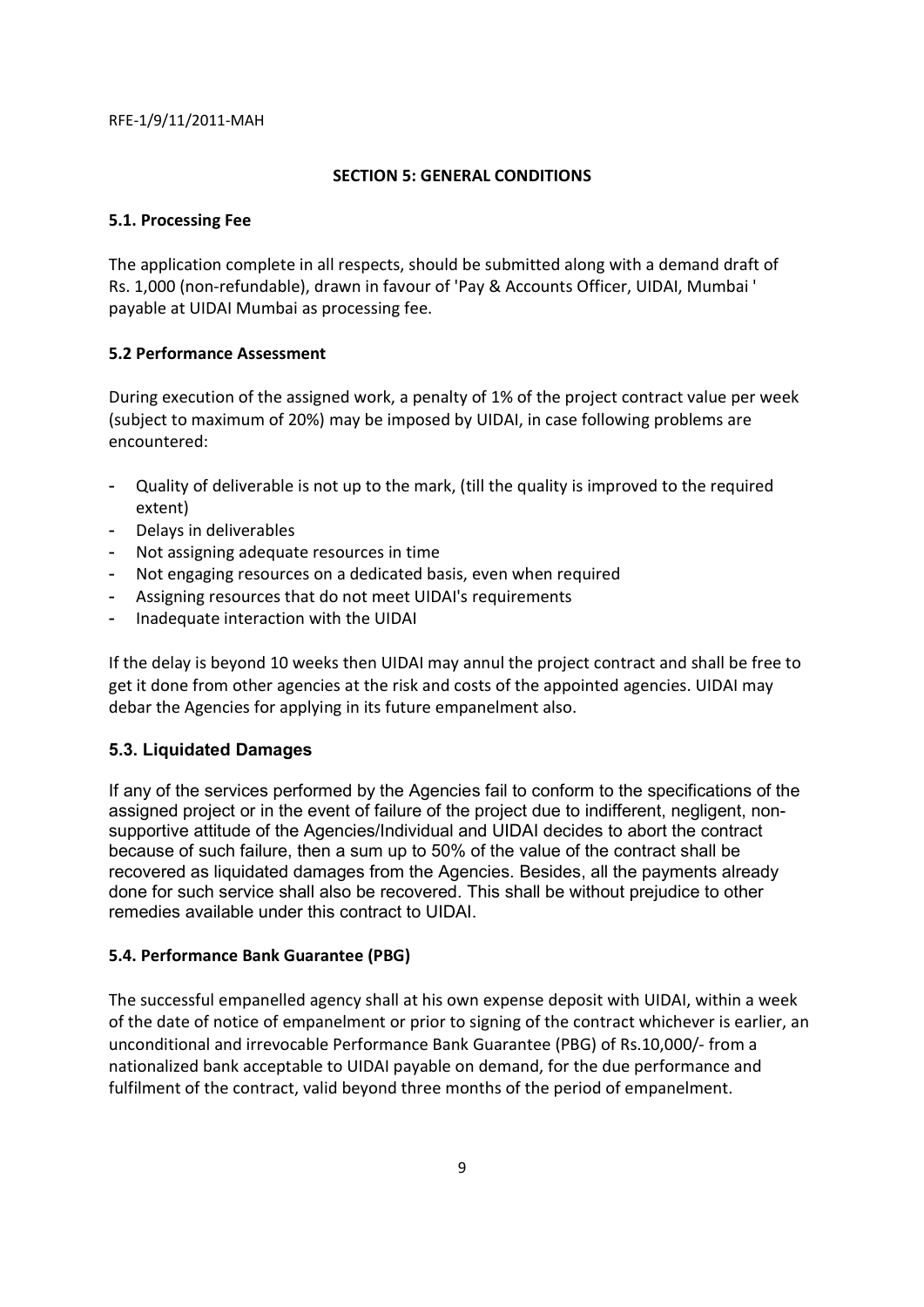#### **SECTION 5: GENERAL CONDITIONS**

## **5.1. Processing Fee**

The application complete in all respects, should be submitted along with a demand draft of Rs. 1,000 (non-refundable), drawn in favour of 'Pay & Accounts Officer, UIDAI, Mumbai ' payable at UIDAI Mumbai as processing fee.

# **5.2 Performance Assessment**

During execution of the assigned work, a penalty of 1% of the project contract value per week (subject to maximum of 20%) may be imposed by UIDAI, in case following problems are encountered:

- Quality of deliverable is not up to the mark, (till the quality is improved to the required extent)
- Delays in deliverables
- Not assigning adequate resources in time
- Not engaging resources on a dedicated basis, even when required
- Assigning resources that do not meet UIDAI's requirements
- Inadequate interaction with the UIDAI

If the delay is beyond 10 weeks then UIDAI may annul the project contract and shall be free to get it done from other agencies at the risk and costs of the appointed agencies. UIDAI may debar the Agencies for applying in its future empanelment also.

# **5.3. Liquidated Damages**

If any of the services performed by the Agencies fail to conform to the specifications of the assigned project or in the event of failure of the project due to indifferent, negligent, nonsupportive attitude of the Agencies/Individual and UIDAI decides to abort the contract because of such failure, then a sum up to 50% of the value of the contract shall be recovered as liquidated damages from the Agencies. Besides, all the payments already done for such service shall also be recovered. This shall be without prejudice to other remedies available under this contract to UIDAI.

#### **5.4. Performance Bank Guarantee (PBG)**

The successful empanelled agency shall at his own expense deposit with UIDAI, within a week of the date of notice of empanelment or prior to signing of the contract whichever is earlier, an unconditional and irrevocable Performance Bank Guarantee (PBG) of Rs.10,000/- from a nationalized bank acceptable to UIDAI payable on demand, for the due performance and fulfilment of the contract, valid beyond three months of the period of empanelment.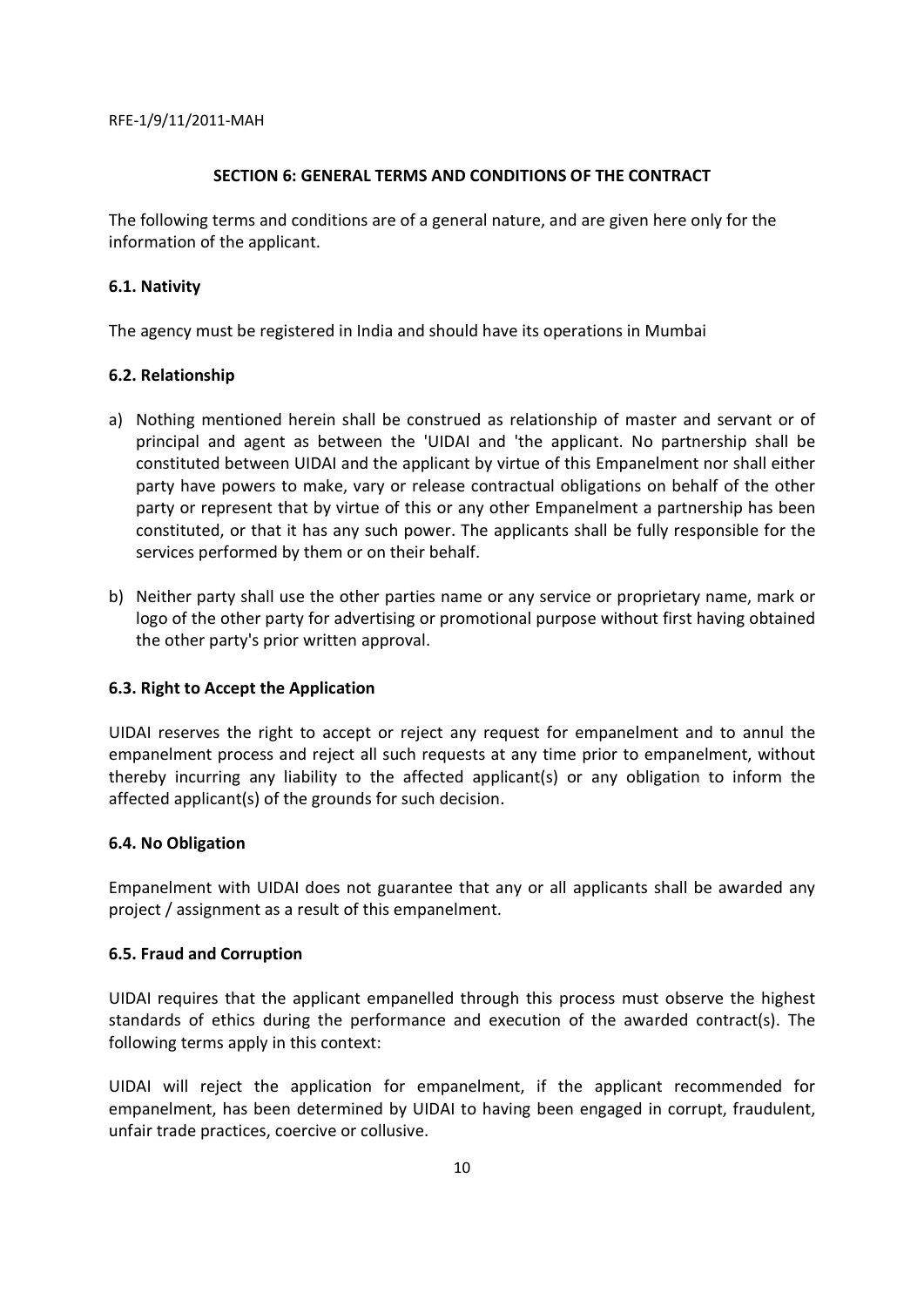## **SECTION 6: GENERAL TERMS AND CONDITIONS OF THE CONTRACT**

The following terms and conditions are of a general nature, and are given here only for the information of the applicant.

# **6.1. Nativity**

The agency must be registered in India and should have its operations in Mumbai

# **6.2. Relationship**

- a) Nothing mentioned herein shall be construed as relationship of master and servant or of principal and agent as between the 'UIDAI and 'the applicant. No partnership shall be constituted between UIDAI and the applicant by virtue of this Empanelment nor shall either party have powers to make, vary or release contractual obligations on behalf of the other party or represent that by virtue of this or any other Empanelment a partnership has been constituted, or that it has any such power. The applicants shall be fully responsible for the services performed by them or on their behalf.
- b) Neither party shall use the other parties name or any service or proprietary name, mark or logo of the other party for advertising or promotional purpose without first having obtained the other party's prior written approval.

# **6.3. Right to Accept the Application**

UIDAI reserves the right to accept or reject any request for empanelment and to annul the empanelment process and reject all such requests at any time prior to empanelment, without thereby incurring any liability to the affected applicant(s) or any obligation to inform the affected applicant(s) of the grounds for such decision.

#### **6.4. No Obligation**

Empanelment with UIDAI does not guarantee that any or all applicants shall be awarded any project / assignment as a result of this empanelment.

#### **6.5. Fraud and Corruption**

UIDAI requires that the applicant empanelled through this process must observe the highest standards of ethics during the performance and execution of the awarded contract(s). The following terms apply in this context:

UIDAI will reject the application for empanelment, if the applicant recommended for empanelment, has been determined by UIDAI to having been engaged in corrupt, fraudulent, unfair trade practices, coercive or collusive.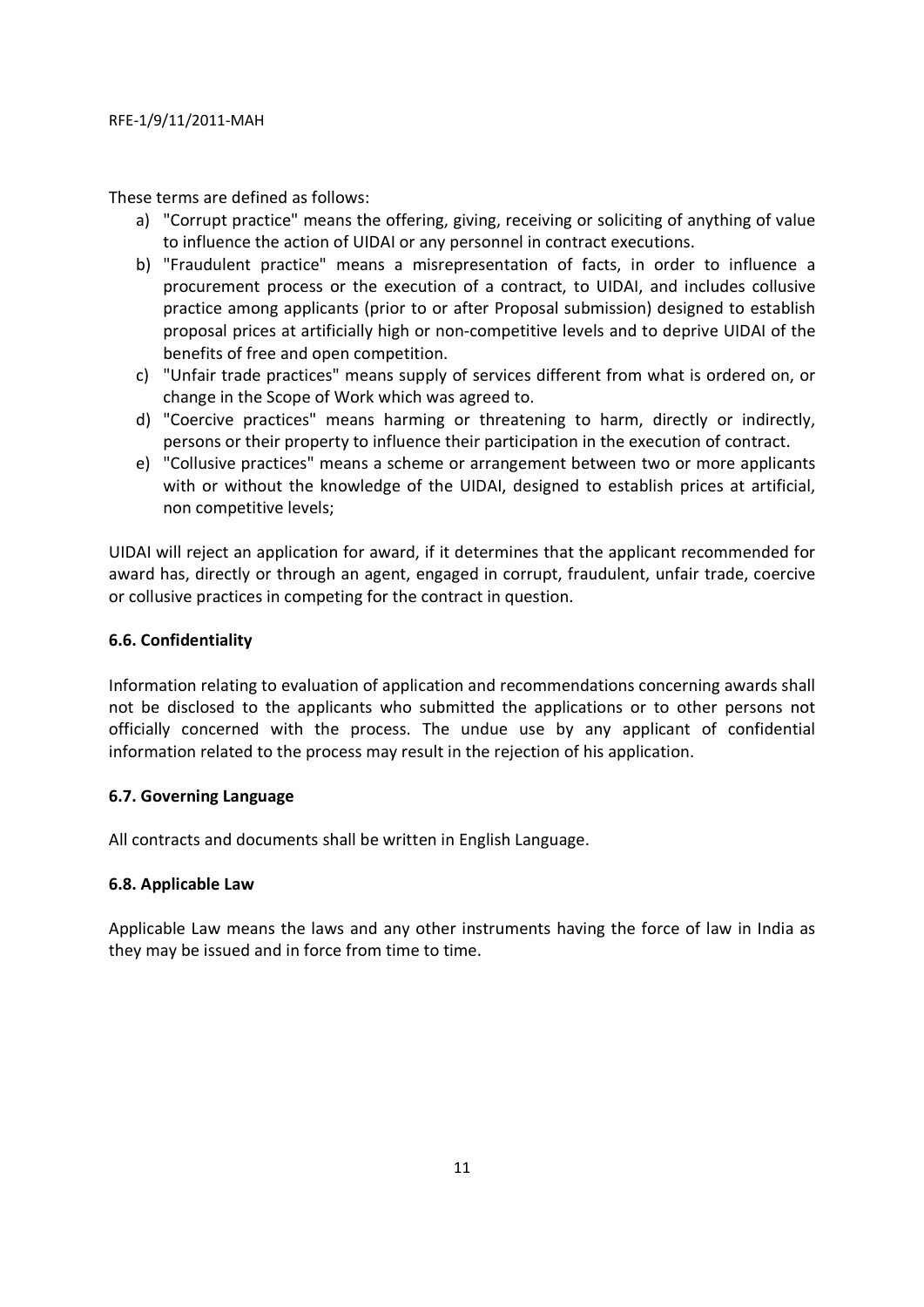These terms are defined as follows:

- a) "Corrupt practice" means the offering, giving, receiving or soliciting of anything of value to influence the action of UIDAI or any personnel in contract executions.
- b) "Fraudulent practice" means a misrepresentation of facts, in order to influence a procurement process or the execution of a contract, to UIDAI, and includes collusive practice among applicants (prior to or after Proposal submission) designed to establish proposal prices at artificially high or non-competitive levels and to deprive UIDAI of the benefits of free and open competition.
- c) "Unfair trade practices" means supply of services different from what is ordered on, or change in the Scope of Work which was agreed to.
- d) "Coercive practices" means harming or threatening to harm, directly or indirectly, persons or their property to influence their participation in the execution of contract.
- e) "Collusive practices" means a scheme or arrangement between two or more applicants with or without the knowledge of the UIDAI, designed to establish prices at artificial, non competitive levels;

UIDAI will reject an application for award, if it determines that the applicant recommended for award has, directly or through an agent, engaged in corrupt, fraudulent, unfair trade, coercive or collusive practices in competing for the contract in question.

# **6.6. Confidentiality**

Information relating to evaluation of application and recommendations concerning awards shall not be disclosed to the applicants who submitted the applications or to other persons not officially concerned with the process. The undue use by any applicant of confidential information related to the process may result in the rejection of his application.

#### **6.7. Governing Language**

All contracts and documents shall be written in English Language.

#### **6.8. Applicable Law**

Applicable Law means the laws and any other instruments having the force of law in India as they may be issued and in force from time to time.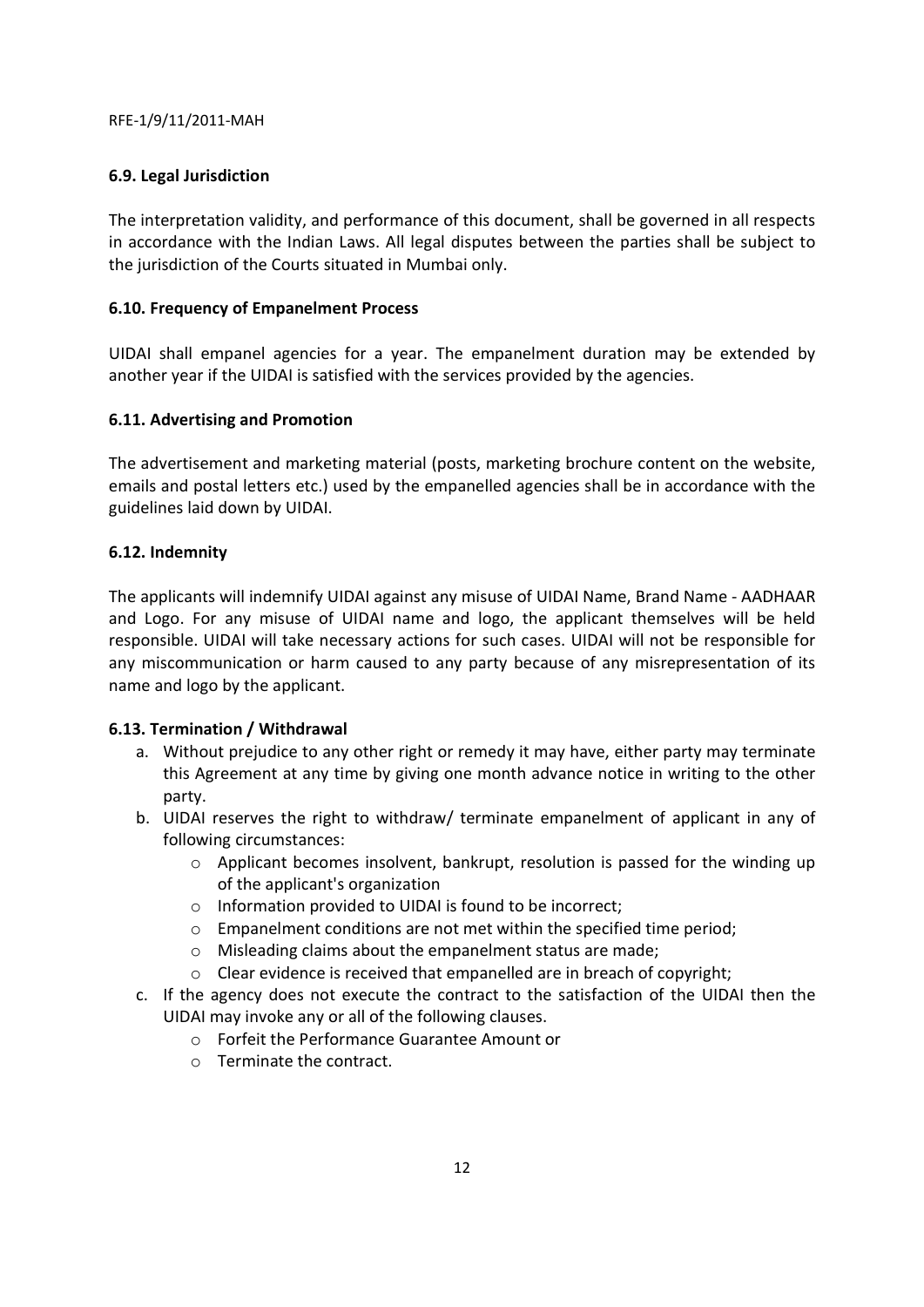# **6.9. Legal Jurisdiction**

The interpretation validity, and performance of this document, shall be governed in all respects in accordance with the Indian Laws. All legal disputes between the parties shall be subject to the jurisdiction of the Courts situated in Mumbai only.

# **6.10. Frequency of Empanelment Process**

UIDAI shall empanel agencies for a year. The empanelment duration may be extended by another year if the UIDAI is satisfied with the services provided by the agencies.

# **6.11. Advertising and Promotion**

The advertisement and marketing material (posts, marketing brochure content on the website, emails and postal letters etc.) used by the empanelled agencies shall be in accordance with the guidelines laid down by UIDAI.

# **6.12. Indemnity**

The applicants will indemnify UIDAI against any misuse of UIDAI Name, Brand Name - AADHAAR and Logo. For any misuse of UIDAI name and logo, the applicant themselves will be held responsible. UIDAI will take necessary actions for such cases. UIDAI will not be responsible for any miscommunication or harm caused to any party because of any misrepresentation of its name and logo by the applicant.

#### **6.13. Termination / Withdrawal**

- a. Without prejudice to any other right or remedy it may have, either party may terminate this Agreement at any time by giving one month advance notice in writing to the other party.
- b. UIDAI reserves the right to withdraw/ terminate empanelment of applicant in any of following circumstances:
	- $\circ$  Applicant becomes insolvent, bankrupt, resolution is passed for the winding up of the applicant's organization
	- o Information provided to UIDAI is found to be incorrect;
	- o Empanelment conditions are not met within the specified time period;
	- o Misleading claims about the empanelment status are made;
	- o Clear evidence is received that empanelled are in breach of copyright;
- c. If the agency does not execute the contract to the satisfaction of the UIDAI then the UIDAI may invoke any or all of the following clauses.
	- o Forfeit the Performance Guarantee Amount or
	- o Terminate the contract.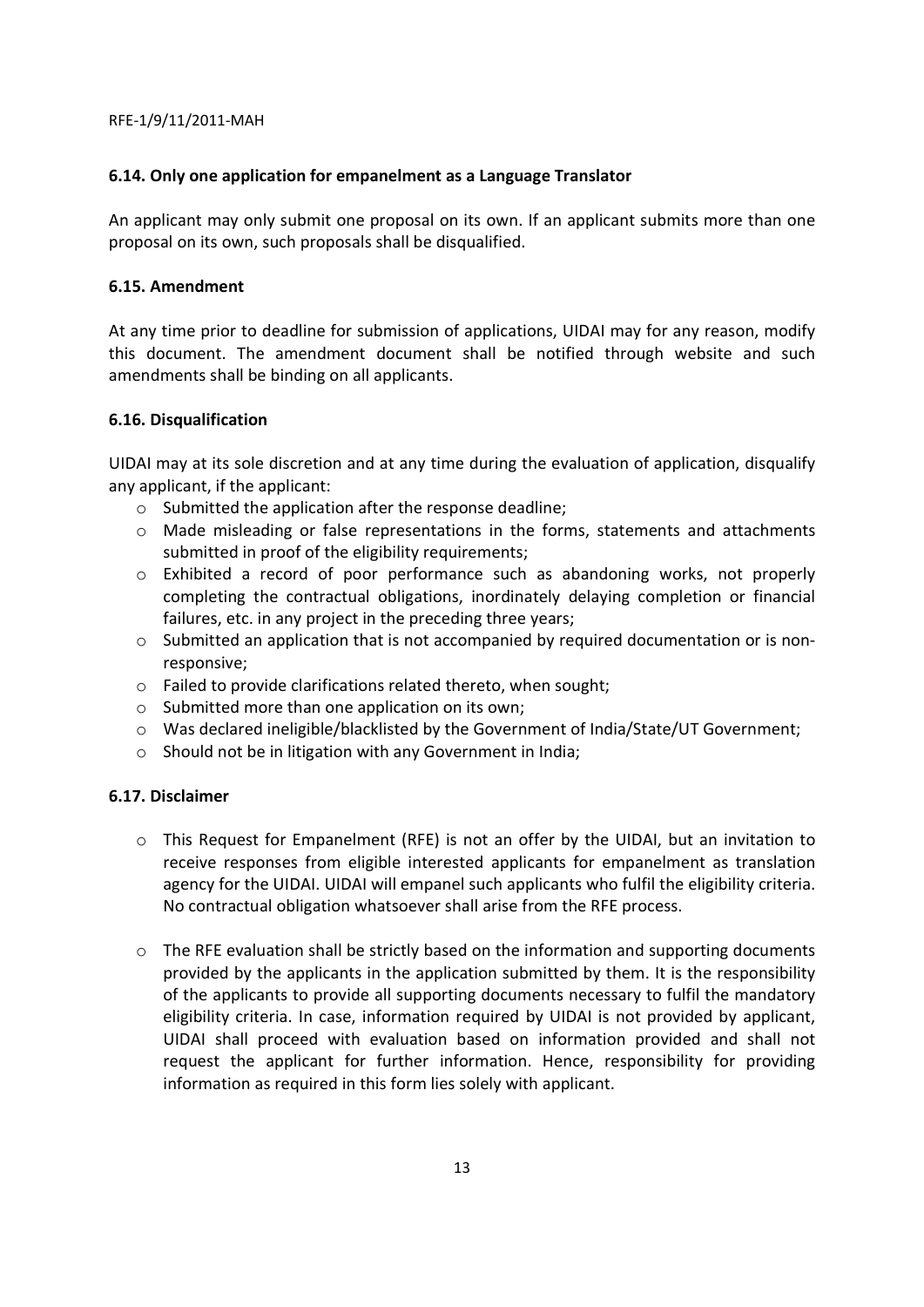#### **6.14. Only one application for empanelment as a Language Translator**

An applicant may only submit one proposal on its own. If an applicant submits more than one proposal on its own, such proposals shall be disqualified.

## **6.15. Amendment**

At any time prior to deadline for submission of applications, UIDAI may for any reason, modify this document. The amendment document shall be notified through website and such amendments shall be binding on all applicants.

# **6.16. Disqualification**

UIDAI may at its sole discretion and at any time during the evaluation of application, disqualify any applicant, if the applicant:

- o Submitted the application after the response deadline;
- o Made misleading or false representations in the forms, statements and attachments submitted in proof of the eligibility requirements;
- o Exhibited a record of poor performance such as abandoning works, not properly completing the contractual obligations, inordinately delaying completion or financial failures, etc. in any project in the preceding three years;
- $\circ$  Submitted an application that is not accompanied by required documentation or is nonresponsive;
- o Failed to provide clarifications related thereto, when sought;
- o Submitted more than one application on its own;
- o Was declared ineligible/blacklisted by the Government of India/State/UT Government;
- o Should not be in litigation with any Government in India;

#### **6.17. Disclaimer**

- o This Request for Empanelment (RFE) is not an offer by the UIDAI, but an invitation to receive responses from eligible interested applicants for empanelment as translation agency for the UIDAI. UIDAI will empanel such applicants who fulfil the eligibility criteria. No contractual obligation whatsoever shall arise from the RFE process.
- $\circ$  The RFE evaluation shall be strictly based on the information and supporting documents provided by the applicants in the application submitted by them. It is the responsibility of the applicants to provide all supporting documents necessary to fulfil the mandatory eligibility criteria. In case, information required by UIDAI is not provided by applicant, UIDAI shall proceed with evaluation based on information provided and shall not request the applicant for further information. Hence, responsibility for providing information as required in this form lies solely with applicant.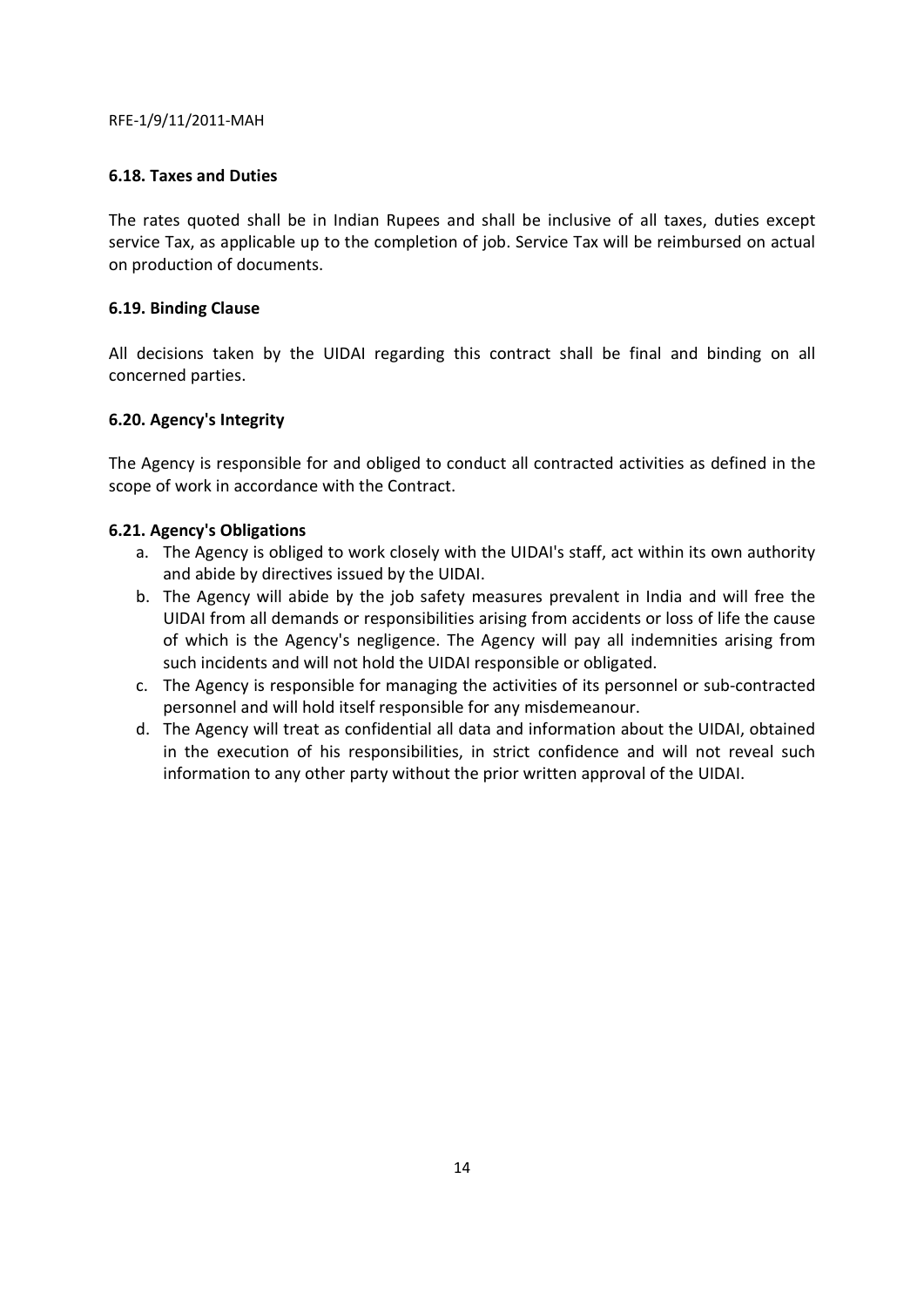#### **6.18. Taxes and Duties**

The rates quoted shall be in Indian Rupees and shall be inclusive of all taxes, duties except service Tax, as applicable up to the completion of job. Service Tax will be reimbursed on actual on production of documents.

# **6.19. Binding Clause**

All decisions taken by the UIDAI regarding this contract shall be final and binding on all concerned parties.

# **6.20. Agency's Integrity**

The Agency is responsible for and obliged to conduct all contracted activities as defined in the scope of work in accordance with the Contract.

# **6.21. Agency's Obligations**

- a. The Agency is obliged to work closely with the UIDAI's staff, act within its own authority and abide by directives issued by the UIDAI.
- b. The Agency will abide by the job safety measures prevalent in India and will free the UIDAI from all demands or responsibilities arising from accidents or loss of life the cause of which is the Agency's negligence. The Agency will pay all indemnities arising from such incidents and will not hold the UIDAI responsible or obligated.
- c. The Agency is responsible for managing the activities of its personnel or sub-contracted personnel and will hold itself responsible for any misdemeanour.
- d. The Agency will treat as confidential all data and information about the UIDAI, obtained in the execution of his responsibilities, in strict confidence and will not reveal such information to any other party without the prior written approval of the UIDAI.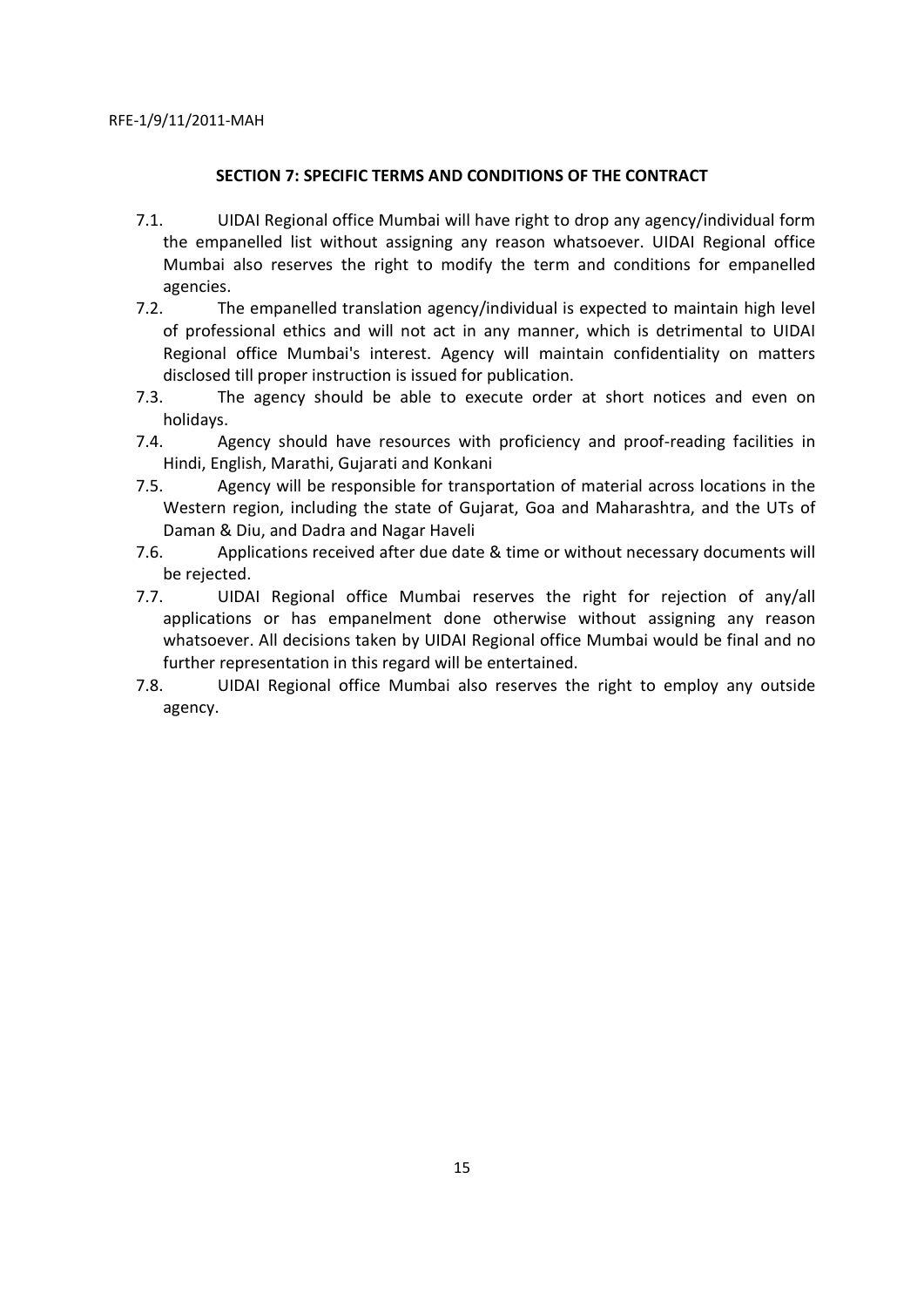# **SECTION 7: SPECIFIC TERMS AND CONDITIONS OF THE CONTRACT**

- 7.1. UIDAI Regional office Mumbai will have right to drop any agency/individual form the empanelled list without assigning any reason whatsoever. UIDAI Regional office Mumbai also reserves the right to modify the term and conditions for empanelled agencies.
- 7.2. The empanelled translation agency/individual is expected to maintain high level of professional ethics and will not act in any manner, which is detrimental to UIDAI Regional office Mumbai's interest. Agency will maintain confidentiality on matters disclosed till proper instruction is issued for publication.
- 7.3. The agency should be able to execute order at short notices and even on holidays.
- 7.4. Agency should have resources with proficiency and proof-reading facilities in Hindi, English, Marathi, Gujarati and Konkani
- 7.5. Agency will be responsible for transportation of material across locations in the Western region, including the state of Gujarat, Goa and Maharashtra, and the UTs of Daman & Diu, and Dadra and Nagar Haveli
- 7.6. Applications received after due date & time or without necessary documents will be rejected.
- 7.7. UIDAI Regional office Mumbai reserves the right for rejection of any/all applications or has empanelment done otherwise without assigning any reason whatsoever. All decisions taken by UIDAI Regional office Mumbai would be final and no further representation in this regard will be entertained.
- 7.8. UIDAI Regional office Mumbai also reserves the right to employ any outside agency.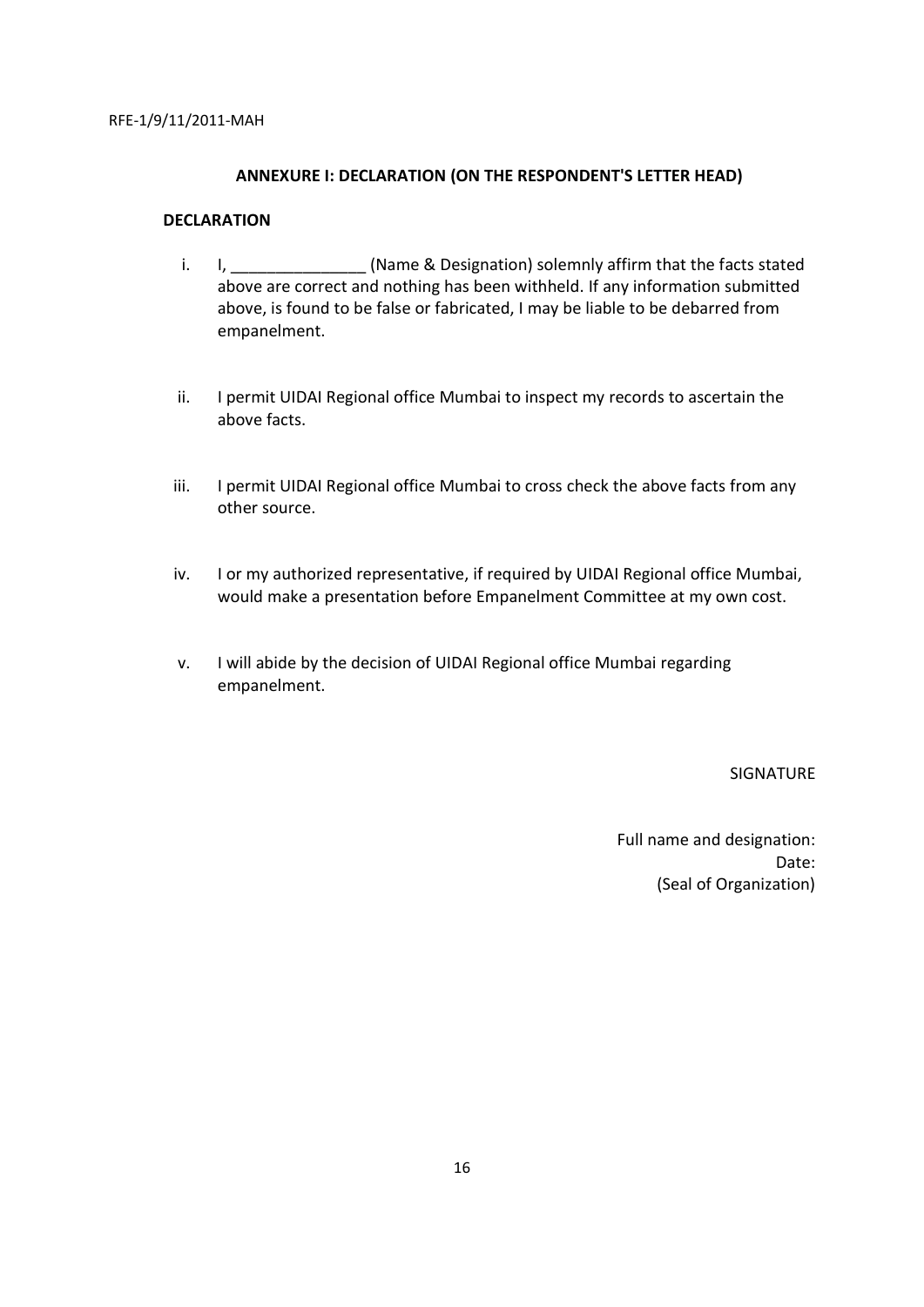#### **ANNEXURE I: DECLARATION (ON THE RESPONDENT'S LETTER HEAD)**

# **DECLARATION**

- i. I. L. Communism in the intervals of the facts stated in the facts stated in the facts stated above are correct and nothing has been withheld. If any information submitted above, is found to be false or fabricated, I may be liable to be debarred from empanelment.
- ii. I permit UIDAI Regional office Mumbai to inspect my records to ascertain the above facts.
- iii. I permit UIDAI Regional office Mumbai to cross check the above facts from any other source.
- iv. I or my authorized representative, if required by UIDAI Regional office Mumbai, would make a presentation before Empanelment Committee at my own cost.
- v. I will abide by the decision of UIDAI Regional office Mumbai regarding empanelment.

SIGNATURE

Full name and designation: Date: (Seal of Organization)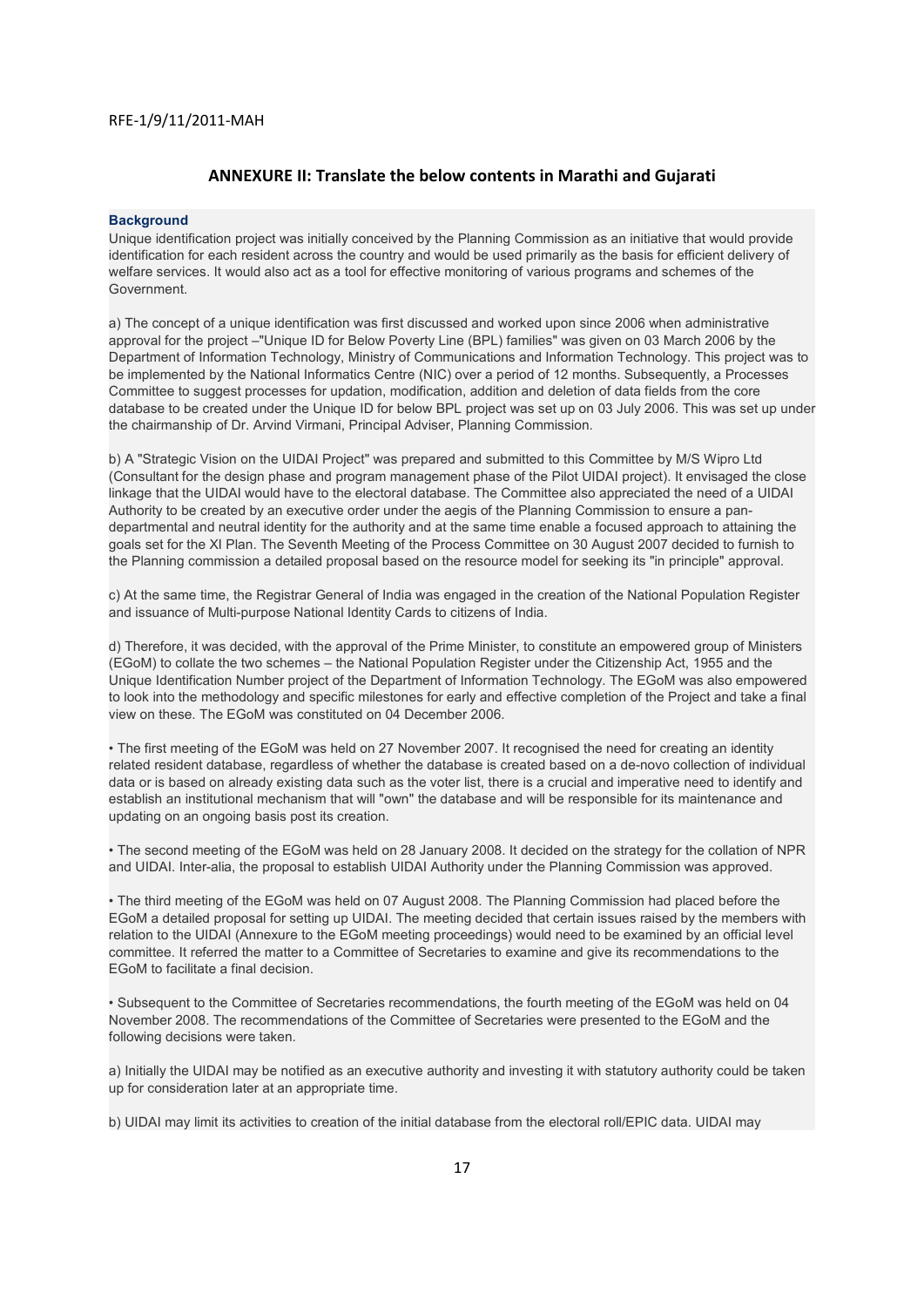#### **ANNEXURE II: Translate the below contents in Marathi and Gujarati**

#### **Background**

Unique identification project was initially conceived by the Planning Commission as an initiative that would provide identification for each resident across the country and would be used primarily as the basis for efficient delivery of welfare services. It would also act as a tool for effective monitoring of various programs and schemes of the Government.

a) The concept of a unique identification was first discussed and worked upon since 2006 when administrative approval for the project –"Unique ID for Below Poverty Line (BPL) families" was given on 03 March 2006 by the Department of Information Technology, Ministry of Communications and Information Technology. This project was to be implemented by the National Informatics Centre (NIC) over a period of 12 months. Subsequently, a Processes Committee to suggest processes for updation, modification, addition and deletion of data fields from the core database to be created under the Unique ID for below BPL project was set up on 03 July 2006. This was set up under the chairmanship of Dr. Arvind Virmani, Principal Adviser, Planning Commission.

b) A "Strategic Vision on the UIDAI Project" was prepared and submitted to this Committee by M/S Wipro Ltd (Consultant for the design phase and program management phase of the Pilot UIDAI project). It envisaged the close linkage that the UIDAI would have to the electoral database. The Committee also appreciated the need of a UIDAI Authority to be created by an executive order under the aegis of the Planning Commission to ensure a pandepartmental and neutral identity for the authority and at the same time enable a focused approach to attaining the goals set for the XI Plan. The Seventh Meeting of the Process Committee on 30 August 2007 decided to furnish to the Planning commission a detailed proposal based on the resource model for seeking its "in principle" approval.

c) At the same time, the Registrar General of India was engaged in the creation of the National Population Register and issuance of Multi-purpose National Identity Cards to citizens of India.

d) Therefore, it was decided, with the approval of the Prime Minister, to constitute an empowered group of Ministers (EGoM) to collate the two schemes – the National Population Register under the Citizenship Act, 1955 and the Unique Identification Number project of the Department of Information Technology. The EGoM was also empowered to look into the methodology and specific milestones for early and effective completion of the Project and take a final view on these. The EGoM was constituted on 04 December 2006.

• The first meeting of the EGoM was held on 27 November 2007. It recognised the need for creating an identity related resident database, regardless of whether the database is created based on a de-novo collection of individual data or is based on already existing data such as the voter list, there is a crucial and imperative need to identify and establish an institutional mechanism that will "own" the database and will be responsible for its maintenance and updating on an ongoing basis post its creation.

• The second meeting of the EGoM was held on 28 January 2008. It decided on the strategy for the collation of NPR and UIDAI. Inter-alia, the proposal to establish UIDAI Authority under the Planning Commission was approved.

• The third meeting of the EGoM was held on 07 August 2008. The Planning Commission had placed before the EGoM a detailed proposal for setting up UIDAI. The meeting decided that certain issues raised by the members with relation to the UIDAI (Annexure to the EGoM meeting proceedings) would need to be examined by an official level committee. It referred the matter to a Committee of Secretaries to examine and give its recommendations to the EGoM to facilitate a final decision.

• Subsequent to the Committee of Secretaries recommendations, the fourth meeting of the EGoM was held on 04 November 2008. The recommendations of the Committee of Secretaries were presented to the EGoM and the following decisions were taken.

a) Initially the UIDAI may be notified as an executive authority and investing it with statutory authority could be taken up for consideration later at an appropriate time.

b) UIDAI may limit its activities to creation of the initial database from the electoral roll/EPIC data. UIDAI may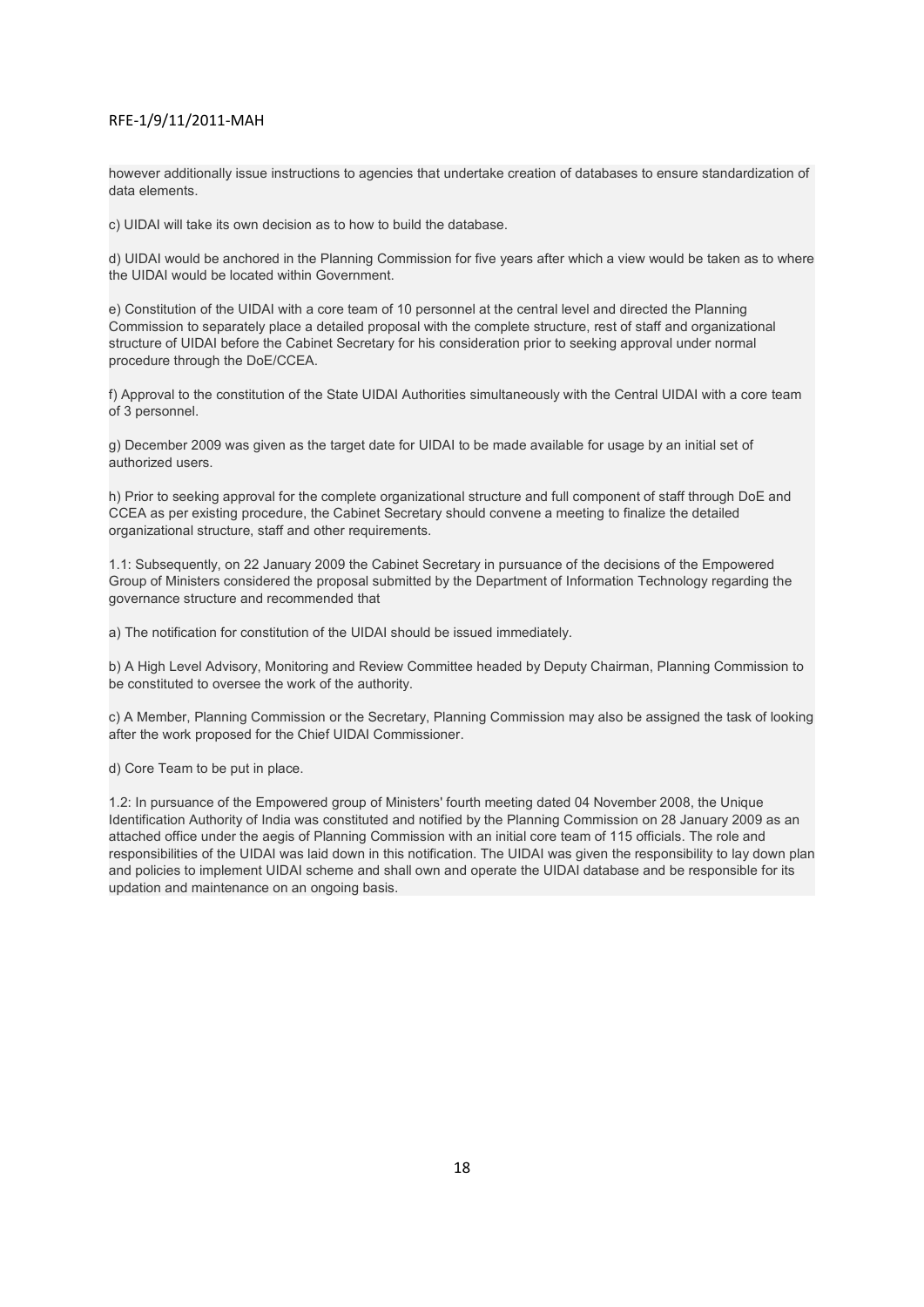however additionally issue instructions to agencies that undertake creation of databases to ensure standardization of data elements.

c) UIDAI will take its own decision as to how to build the database.

d) UIDAI would be anchored in the Planning Commission for five years after which a view would be taken as to where the UIDAI would be located within Government.

e) Constitution of the UIDAI with a core team of 10 personnel at the central level and directed the Planning Commission to separately place a detailed proposal with the complete structure, rest of staff and organizational structure of UIDAI before the Cabinet Secretary for his consideration prior to seeking approval under normal procedure through the DoE/CCEA.

f) Approval to the constitution of the State UIDAI Authorities simultaneously with the Central UIDAI with a core team of 3 personnel.

g) December 2009 was given as the target date for UIDAI to be made available for usage by an initial set of authorized users.

h) Prior to seeking approval for the complete organizational structure and full component of staff through DoE and CCEA as per existing procedure, the Cabinet Secretary should convene a meeting to finalize the detailed organizational structure, staff and other requirements.

1.1: Subsequently, on 22 January 2009 the Cabinet Secretary in pursuance of the decisions of the Empowered Group of Ministers considered the proposal submitted by the Department of Information Technology regarding the governance structure and recommended that

a) The notification for constitution of the UIDAI should be issued immediately.

b) A High Level Advisory, Monitoring and Review Committee headed by Deputy Chairman, Planning Commission to be constituted to oversee the work of the authority.

c) A Member, Planning Commission or the Secretary, Planning Commission may also be assigned the task of looking after the work proposed for the Chief UIDAI Commissioner.

d) Core Team to be put in place.

1.2: In pursuance of the Empowered group of Ministers' fourth meeting dated 04 November 2008, the Unique Identification Authority of India was constituted and notified by the Planning Commission on 28 January 2009 as an attached office under the aegis of Planning Commission with an initial core team of 115 officials. The role and responsibilities of the UIDAI was laid down in this notification. The UIDAI was given the responsibility to lay down plan and policies to implement UIDAI scheme and shall own and operate the UIDAI database and be responsible for its updation and maintenance on an ongoing basis.